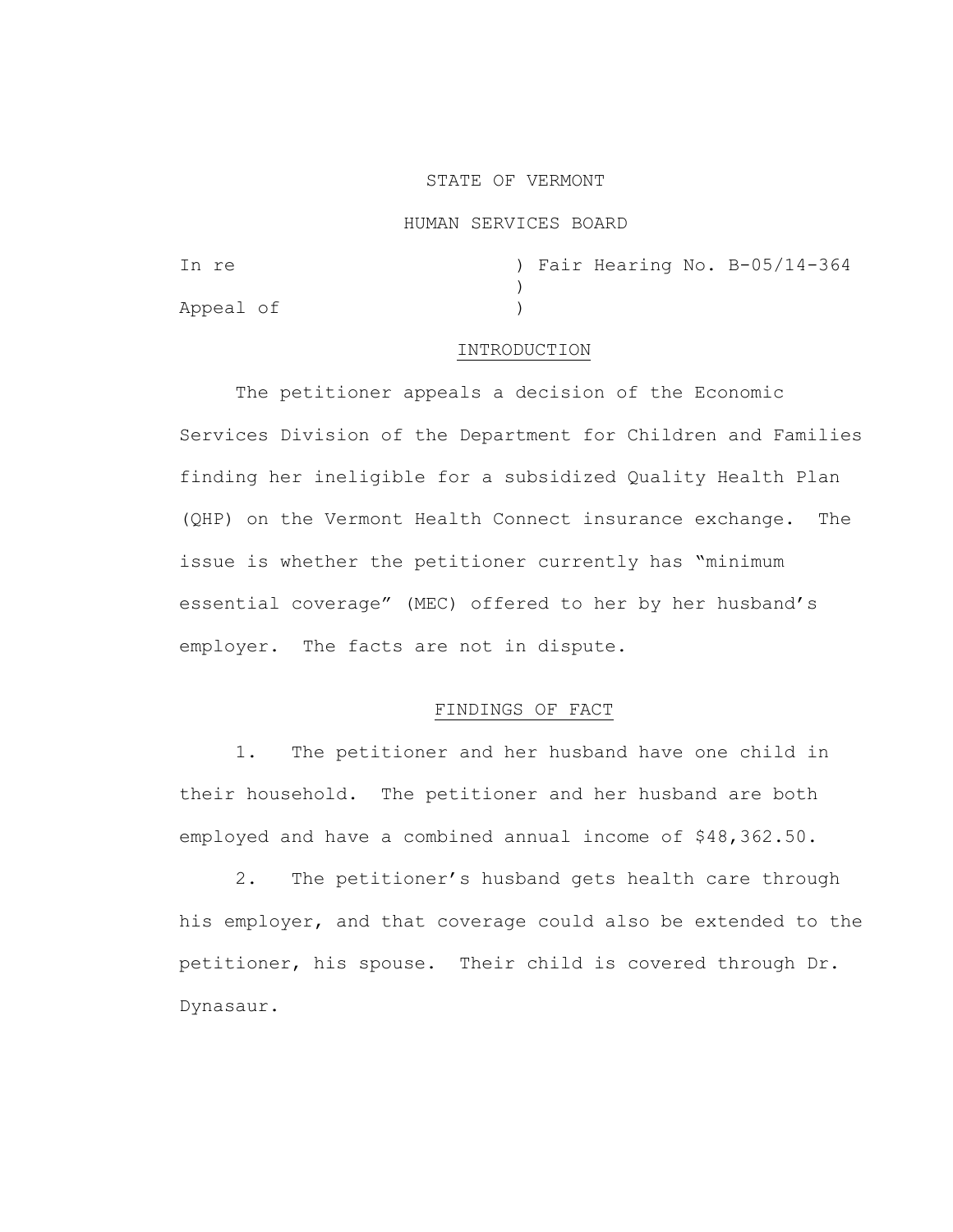## STATE OF VERMONT

# HUMAN SERVICES BOARD

| In re     |  |  | ) Fair Hearing No. B-05/14-364 |
|-----------|--|--|--------------------------------|
|           |  |  |                                |
| Appeal of |  |  |                                |

## INTRODUCTION

The petitioner appeals a decision of the Economic Services Division of the Department for Children and Families finding her ineligible for a subsidized Quality Health Plan (QHP) on the Vermont Health Connect insurance exchange. The issue is whether the petitioner currently has "minimum essential coverage" (MEC) offered to her by her husband's employer. The facts are not in dispute.

## FINDINGS OF FACT

1. The petitioner and her husband have one child in their household. The petitioner and her husband are both employed and have a combined annual income of \$48,362.50.

2. The petitioner's husband gets health care through his employer, and that coverage could also be extended to the petitioner, his spouse. Their child is covered through Dr. Dynasaur.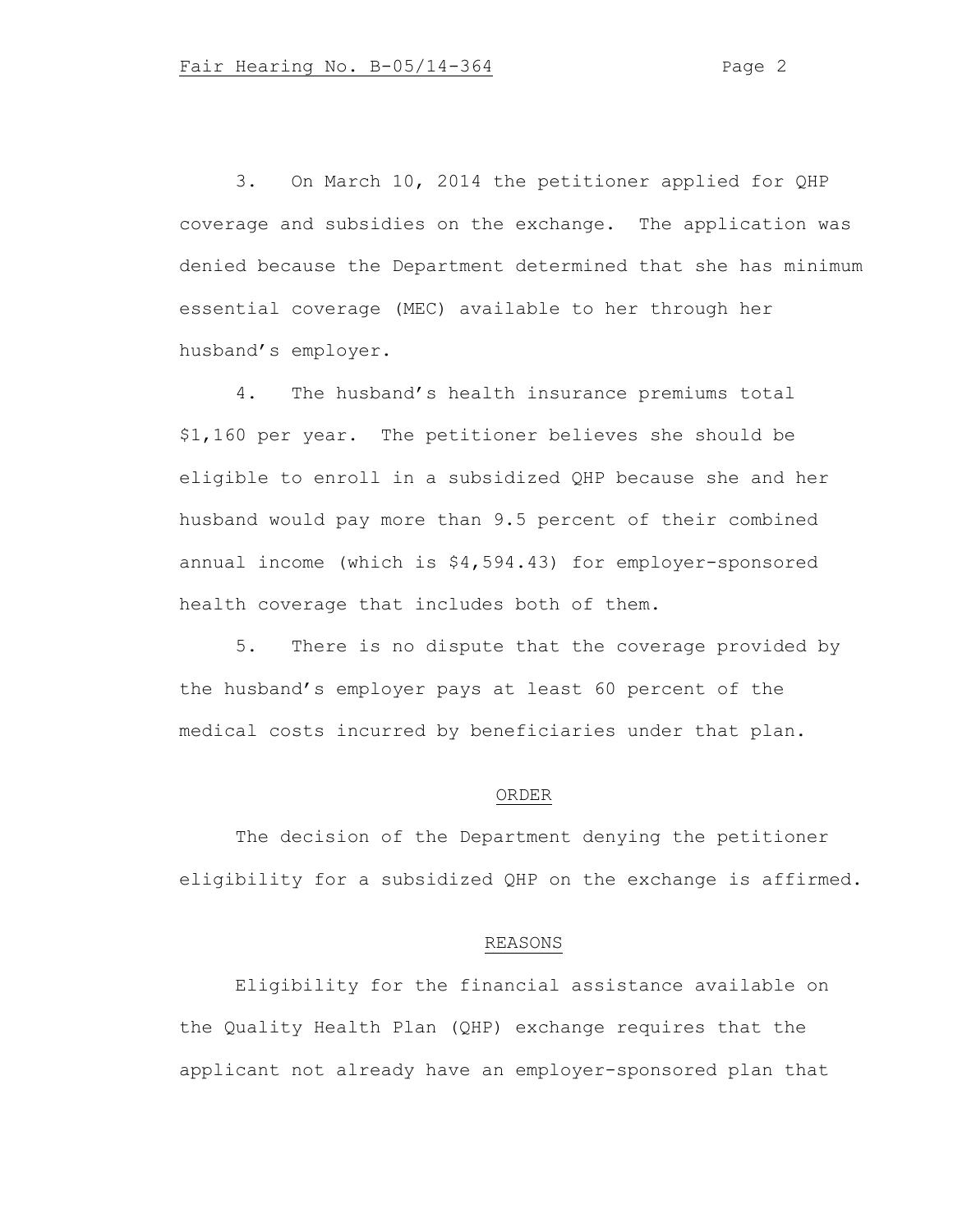3. On March 10, 2014 the petitioner applied for QHP coverage and subsidies on the exchange. The application was denied because the Department determined that she has minimum essential coverage (MEC) available to her through her husband's employer.

4. The husband's health insurance premiums total \$1,160 per year. The petitioner believes she should be eligible to enroll in a subsidized QHP because she and her husband would pay more than 9.5 percent of their combined annual income (which is \$4,594.43) for employer-sponsored health coverage that includes both of them.

5. There is no dispute that the coverage provided by the husband's employer pays at least 60 percent of the medical costs incurred by beneficiaries under that plan.

#### ORDER

The decision of the Department denying the petitioner eligibility for a subsidized QHP on the exchange is affirmed.

### REASONS

Eligibility for the financial assistance available on the Quality Health Plan (QHP) exchange requires that the applicant not already have an employer-sponsored plan that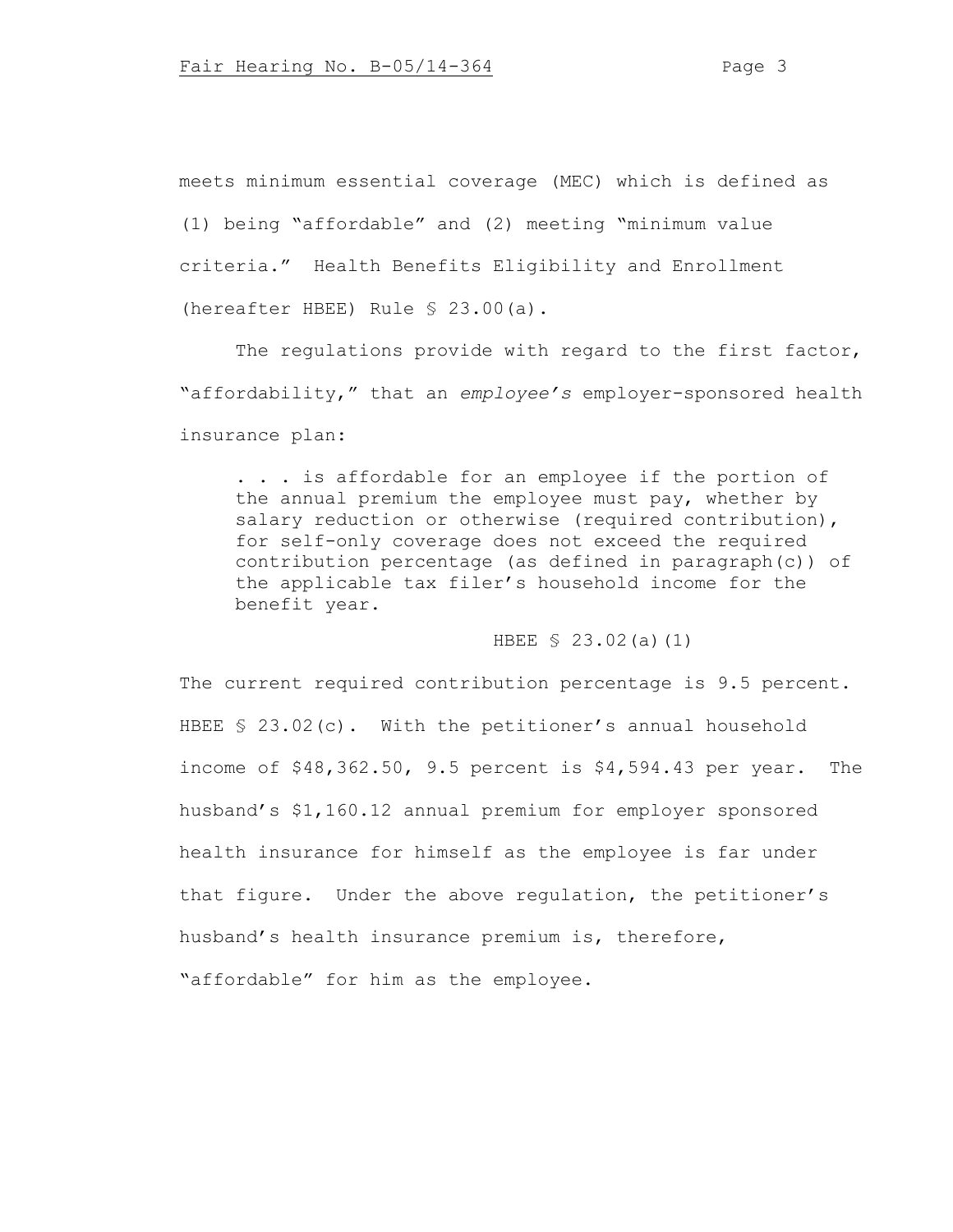meets minimum essential coverage (MEC) which is defined as (1) being "affordable" and (2) meeting "minimum value criteria." Health Benefits Eligibility and Enrollment (hereafter HBEE) Rule § 23.00(a).

The regulations provide with regard to the first factor, "affordability," that an *employee's* employer-sponsored health insurance plan:

. . . is affordable for an employee if the portion of the annual premium the employee must pay, whether by salary reduction or otherwise (required contribution), for self-only coverage does not exceed the required contribution percentage (as defined in paragraph(c)) of the applicable tax filer's household income for the benefit year.

### HBEE § 23.02(a)(1)

The current required contribution percentage is 9.5 percent. HBEE § 23.02(c). With the petitioner's annual household income of \$48,362.50, 9.5 percent is \$4,594.43 per year. The husband's \$1,160.12 annual premium for employer sponsored health insurance for himself as the employee is far under that figure. Under the above regulation, the petitioner's husband's health insurance premium is, therefore, "affordable" for him as the employee.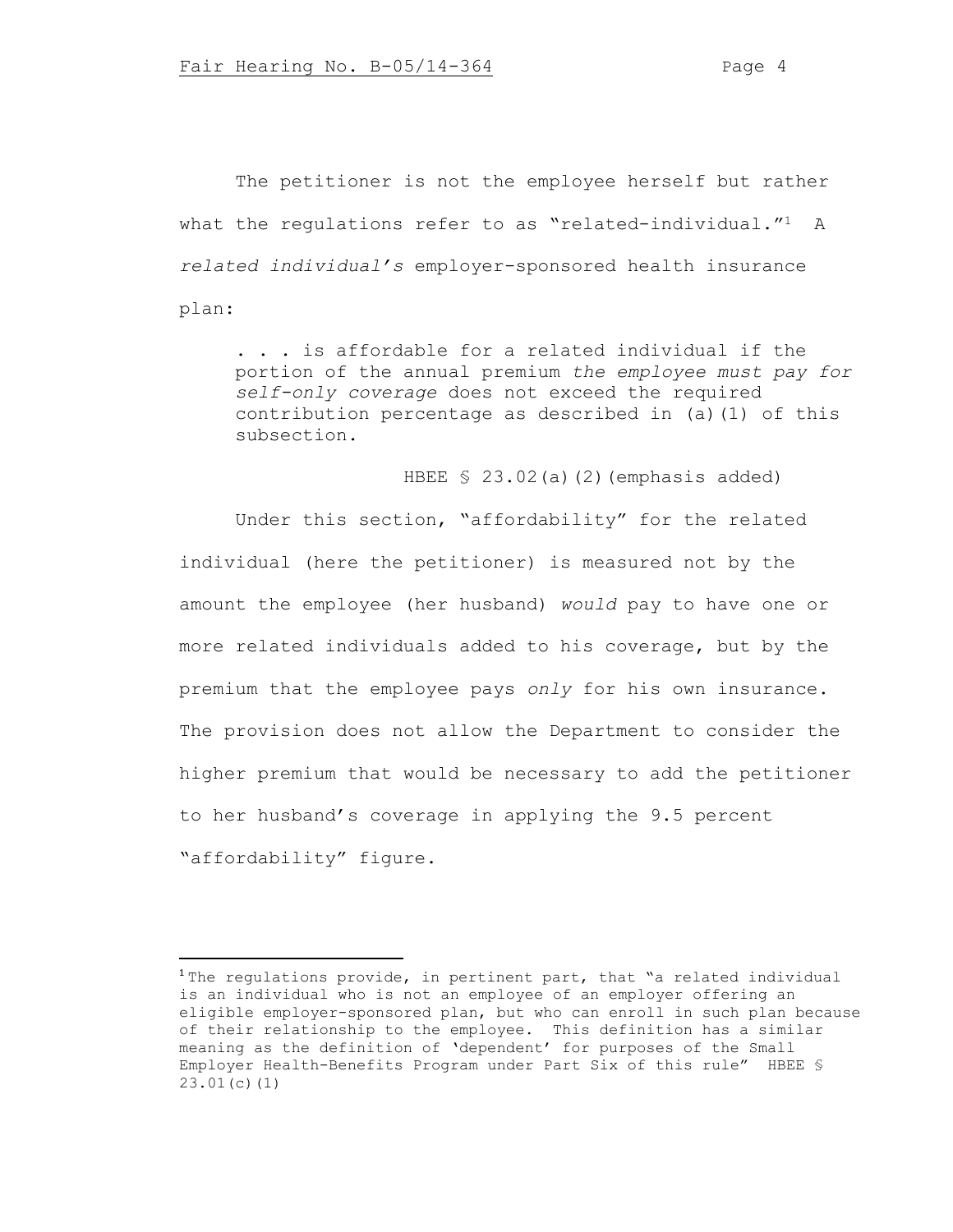The petitioner is not the employee herself but rather what the requlations refer to as "related-individual."<sup>1</sup> A *related individual's* employer-sponsored health insurance plan:

. . . is affordable for a related individual if the portion of the annual premium *the employee must pay for self-only coverage* does not exceed the required contribution percentage as described in (a)(1) of this subsection.

HBEE § 23.02(a)(2)(emphasis added)

Under this section, "affordability" for the related individual (here the petitioner) is measured not by the amount the employee (her husband) *would* pay to have one or more related individuals added to his coverage, but by the premium that the employee pays *only* for his own insurance. The provision does not allow the Department to consider the higher premium that would be necessary to add the petitioner to her husband's coverage in applying the 9.5 percent "affordability" figure.

<sup>&</sup>lt;sup>1</sup> The requlations provide, in pertinent part, that "a related individual is an individual who is not an employee of an employer offering an eligible employer-sponsored plan, but who can enroll in such plan because of their relationship to the employee. This definition has a similar meaning as the definition of 'dependent' for purposes of the Small Employer Health-Benefits Program under Part Six of this rule" HBEE § 23.01(c)(1)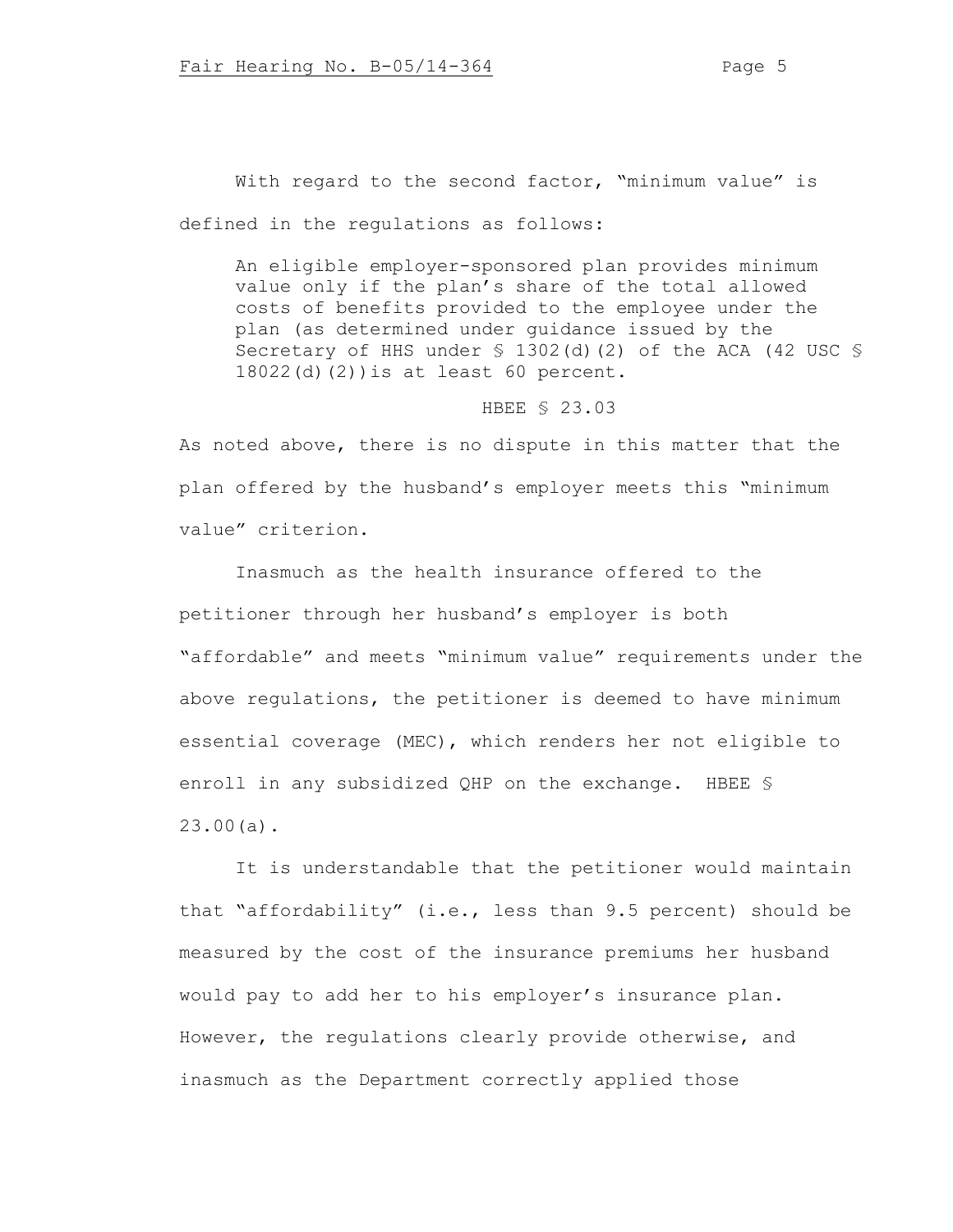With regard to the second factor, "minimum value" is defined in the regulations as follows:

An eligible employer-sponsored plan provides minimum value only if the plan's share of the total allowed costs of benefits provided to the employee under the plan (as determined under guidance issued by the Secretary of HHS under § 1302(d)(2) of the ACA (42 USC § 18022(d)(2))is at least 60 percent.

### HBEE § 23.03

As noted above, there is no dispute in this matter that the plan offered by the husband's employer meets this "minimum value" criterion.

Inasmuch as the health insurance offered to the petitioner through her husband's employer is both "affordable" and meets "minimum value" requirements under the above regulations, the petitioner is deemed to have minimum essential coverage (MEC), which renders her not eligible to enroll in any subsidized QHP on the exchange. HBEE § 23.00(a).

It is understandable that the petitioner would maintain that "affordability" (i.e., less than 9.5 percent) should be measured by the cost of the insurance premiums her husband would pay to add her to his employer's insurance plan. However, the regulations clearly provide otherwise, and inasmuch as the Department correctly applied those